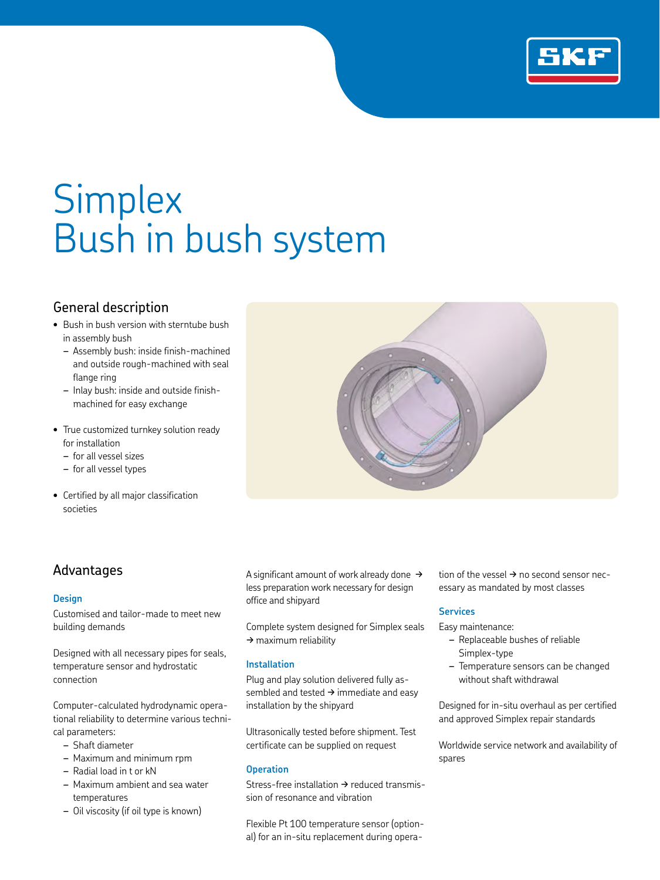

# **Simplex** Bush in bush system

## General description

- Bush in bush version with sterntube bush in assembly bush
	- *–* Assembly bush: inside finish-machined and outside rough-machined with seal flange ring
	- *–* Inlay bush: inside and outside finishmachined for easy exchange
- True customized turnkey solution ready for installation
	- *–* for all vessel sizes
	- *–* for all vessel types
- Certified by all major classification societies



### Advantages

#### **Design**

Customised and tailor-made to meet new building demands

Designed with all necessary pipes for seals, temperature sensor and hydrostatic connection

Computer-calculated hydrodynamic operational reliability to determine various technical parameters:

- *–* Shaft diameter
- *–* Maximum and minimum rpm
- *–* Radial load in t or kN
- *–* Maximum ambient and sea water temperatures
- *–* Oil viscosity (if oil type is known)

A significant amount of work already done  $\rightarrow$ less preparation work necessary for design office and shipyard

Complete system designed for Simplex seals  $\rightarrow$  maximum reliability

#### **Installation**

Plug and play solution delivered fully assembled and tested  $\rightarrow$  immediate and easy installation by the shipyard

Ultrasonically tested before shipment. Test certificate can be supplied on request

#### **Operation**

Stress-free installation  $\rightarrow$  reduced transmission of resonance and vibration

Flexible Pt 100 temperature sensor (optional) for an in-situ replacement during operation of the vessel  $\rightarrow$  no second sensor necessary as mandated by most classes

#### **Services**

Easy maintenance:

- *–* Replaceable bushes of reliable Simplex-type
- *–* Temperature sensors can be changed without shaft withdrawal

Designed for in-situ overhaul as per certified and approved Simplex repair standards

Worldwide service network and availability of spares